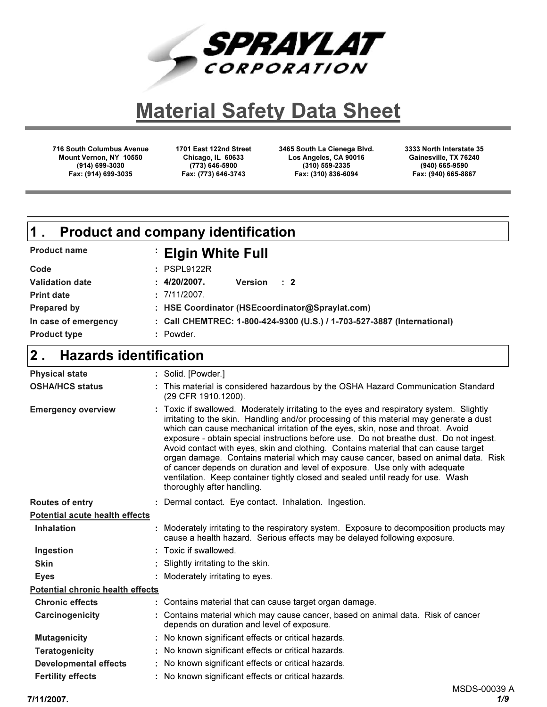

# **Material Safety Data Sheet**

716 South Columbus Avenue Mount Vernon, NY 10550 (914) 699-3030 Fax: (914) 699-3035

1701 East 122nd Street Chicago, IL 60633 (773) 646-5900 Fax: (773) 646-3743

3465 South La Cienega Blvd. Los Angeles, CA 90016 (310) 559-2335 Fax: (310) 836-6094

3333 North Interstate 35 Gainesville, TX 76240 (940) 665-9590 Fax: (940) 665-8867

#### **Elgin White Full** Product name Product and company identification 1 .

| Code                   | $:$ PSPL9122R                                                           |
|------------------------|-------------------------------------------------------------------------|
| <b>Validation date</b> | : 4/20/2007.<br>Version : 2                                             |
| <b>Print date</b>      | : 7/11/2007.                                                            |
| Prepared by            | : HSE Coordinator (HSEcoordinator@Spraylat.com)                         |
| In case of emergency   | : Call CHEMTREC: 1-800-424-9300 (U.S.) / 1-703-527-3887 (International) |
| <b>Product type</b>    | : Powder.                                                               |

#### Hazards identification  $\overline{2}$  .

| <b>Physical state</b>                   | : Solid. [Powder.]                                                                                                                                                                                                                                                                                                                                                                                                                                                                                                                                                                                                                                                                                                                            |
|-----------------------------------------|-----------------------------------------------------------------------------------------------------------------------------------------------------------------------------------------------------------------------------------------------------------------------------------------------------------------------------------------------------------------------------------------------------------------------------------------------------------------------------------------------------------------------------------------------------------------------------------------------------------------------------------------------------------------------------------------------------------------------------------------------|
| <b>OSHA/HCS status</b>                  | : This material is considered hazardous by the OSHA Hazard Communication Standard<br>(29 CFR 1910.1200).                                                                                                                                                                                                                                                                                                                                                                                                                                                                                                                                                                                                                                      |
| <b>Emergency overview</b>               | : Toxic if swallowed. Moderately irritating to the eyes and respiratory system. Slightly<br>irritating to the skin. Handling and/or processing of this material may generate a dust<br>which can cause mechanical irritation of the eyes, skin, nose and throat. Avoid<br>exposure - obtain special instructions before use. Do not breathe dust. Do not ingest.<br>Avoid contact with eyes, skin and clothing. Contains material that can cause target<br>organ damage. Contains material which may cause cancer, based on animal data. Risk<br>of cancer depends on duration and level of exposure. Use only with adequate<br>ventilation. Keep container tightly closed and sealed until ready for use. Wash<br>thoroughly after handling. |
| Routes of entry                         | : Dermal contact. Eye contact. Inhalation. Ingestion.                                                                                                                                                                                                                                                                                                                                                                                                                                                                                                                                                                                                                                                                                         |
| <b>Potential acute health effects</b>   |                                                                                                                                                                                                                                                                                                                                                                                                                                                                                                                                                                                                                                                                                                                                               |
| <b>Inhalation</b>                       | : Moderately irritating to the respiratory system. Exposure to decomposition products may<br>cause a health hazard. Serious effects may be delayed following exposure.                                                                                                                                                                                                                                                                                                                                                                                                                                                                                                                                                                        |
| Ingestion                               | : Toxic if swallowed.                                                                                                                                                                                                                                                                                                                                                                                                                                                                                                                                                                                                                                                                                                                         |
| <b>Skin</b>                             | : Slightly irritating to the skin.                                                                                                                                                                                                                                                                                                                                                                                                                                                                                                                                                                                                                                                                                                            |
| <b>Eyes</b>                             | : Moderately irritating to eyes.                                                                                                                                                                                                                                                                                                                                                                                                                                                                                                                                                                                                                                                                                                              |
| <b>Potential chronic health effects</b> |                                                                                                                                                                                                                                                                                                                                                                                                                                                                                                                                                                                                                                                                                                                                               |
| <b>Chronic effects</b>                  | : Contains material that can cause target organ damage.                                                                                                                                                                                                                                                                                                                                                                                                                                                                                                                                                                                                                                                                                       |
| Carcinogenicity                         | : Contains material which may cause cancer, based on animal data. Risk of cancer<br>depends on duration and level of exposure.                                                                                                                                                                                                                                                                                                                                                                                                                                                                                                                                                                                                                |
| <b>Mutagenicity</b>                     | : No known significant effects or critical hazards.                                                                                                                                                                                                                                                                                                                                                                                                                                                                                                                                                                                                                                                                                           |
| <b>Teratogenicity</b>                   | : No known significant effects or critical hazards.                                                                                                                                                                                                                                                                                                                                                                                                                                                                                                                                                                                                                                                                                           |
| <b>Developmental effects</b>            | : No known significant effects or critical hazards.                                                                                                                                                                                                                                                                                                                                                                                                                                                                                                                                                                                                                                                                                           |
| <b>Fertility effects</b>                | : No known significant effects or critical hazards.                                                                                                                                                                                                                                                                                                                                                                                                                                                                                                                                                                                                                                                                                           |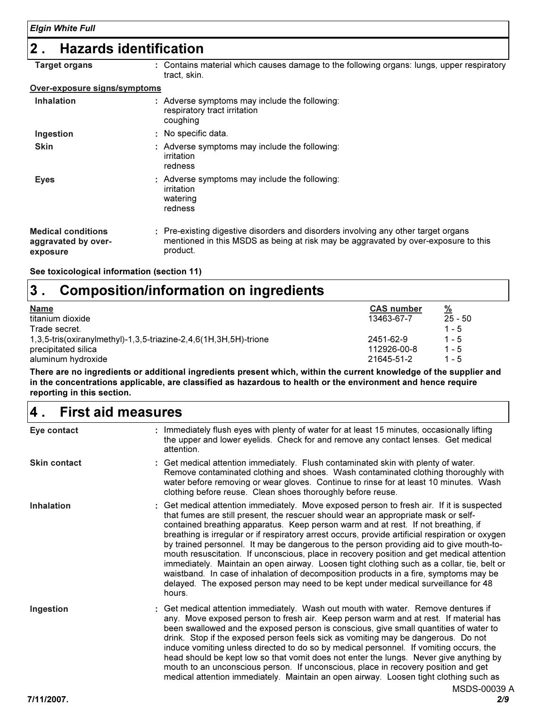### 2 . Hazards identification

| <b>Target organs</b>                                         | : Contains material which causes damage to the following organs: lungs, upper respiratory<br>tract, skin.                                                                            |
|--------------------------------------------------------------|--------------------------------------------------------------------------------------------------------------------------------------------------------------------------------------|
| Over-exposure signs/symptoms                                 |                                                                                                                                                                                      |
| <b>Inhalation</b>                                            | : Adverse symptoms may include the following:<br>respiratory tract irritation<br>coughing                                                                                            |
| Ingestion                                                    | : No specific data.                                                                                                                                                                  |
| <b>Skin</b>                                                  | : Adverse symptoms may include the following:<br>irritation<br>redness                                                                                                               |
| <b>Eyes</b>                                                  | : Adverse symptoms may include the following:<br>irritation<br>watering<br>redness                                                                                                   |
| <b>Medical conditions</b><br>aggravated by over-<br>exposure | : Pre-existing digestive disorders and disorders involving any other target organs<br>mentioned in this MSDS as being at risk may be aggravated by over-exposure to this<br>product. |

See toxicological information (section 11)

#### Composition/information on ingredients 3 .

| <b>Name</b>                                                         | <b>CAS number</b> | <u>%</u>  |
|---------------------------------------------------------------------|-------------------|-----------|
| titanium dioxide                                                    | 13463-67-7        | $25 - 50$ |
| Trade secret.                                                       |                   | $1 - 5$   |
| $1,3,5$ -tris(oxiranylmethyl)-1,3,5-triazine-2,4,6(1H,3H,5H)-trione | 2451-62-9         | $1 - 5$   |
| precipitated silica                                                 | 112926-00-8       | $1 - 5$   |
| aluminum hydroxide                                                  | 21645-51-2        | $1 - 5$   |

There are no ingredients or additional ingredients present which, within the current knowledge of the supplier and in the concentrations applicable, are classified as hazardous to health or the environment and hence require reporting in this section.

#### First aid measures 4 .

| Eye contact         | : Immediately flush eyes with plenty of water for at least 15 minutes, occasionally lifting<br>the upper and lower eyelids. Check for and remove any contact lenses. Get medical<br>attention.                                                                                                                                                                                                                                                                                                                                                                                                                                                                                                                                                                                                                                                         |
|---------------------|--------------------------------------------------------------------------------------------------------------------------------------------------------------------------------------------------------------------------------------------------------------------------------------------------------------------------------------------------------------------------------------------------------------------------------------------------------------------------------------------------------------------------------------------------------------------------------------------------------------------------------------------------------------------------------------------------------------------------------------------------------------------------------------------------------------------------------------------------------|
| <b>Skin contact</b> | : Get medical attention immediately. Flush contaminated skin with plenty of water.<br>Remove contaminated clothing and shoes. Wash contaminated clothing thoroughly with<br>water before removing or wear gloves. Continue to rinse for at least 10 minutes. Wash<br>clothing before reuse. Clean shoes thoroughly before reuse.                                                                                                                                                                                                                                                                                                                                                                                                                                                                                                                       |
| <b>Inhalation</b>   | : Get medical attention immediately. Move exposed person to fresh air. If it is suspected<br>that fumes are still present, the rescuer should wear an appropriate mask or self-<br>contained breathing apparatus. Keep person warm and at rest. If not breathing, if<br>breathing is irregular or if respiratory arrest occurs, provide artificial respiration or oxygen<br>by trained personnel. It may be dangerous to the person providing aid to give mouth-to-<br>mouth resuscitation. If unconscious, place in recovery position and get medical attention<br>immediately. Maintain an open airway. Loosen tight clothing such as a collar, tie, belt or<br>waistband. In case of inhalation of decomposition products in a fire, symptoms may be<br>delayed. The exposed person may need to be kept under medical surveillance for 48<br>hours. |
| Ingestion           | : Get medical attention immediately. Wash out mouth with water. Remove dentures if<br>any. Move exposed person to fresh air. Keep person warm and at rest. If material has<br>been swallowed and the exposed person is conscious, give small quantities of water to<br>drink. Stop if the exposed person feels sick as vomiting may be dangerous. Do not<br>induce vomiting unless directed to do so by medical personnel. If vomiting occurs, the<br>head should be kept low so that vomit does not enter the lungs. Never give anything by<br>mouth to an unconscious person. If unconscious, place in recovery position and get<br>medical attention immediately. Maintain an open airway. Loosen tight clothing such as<br>MSDS-00039                                                                                                              |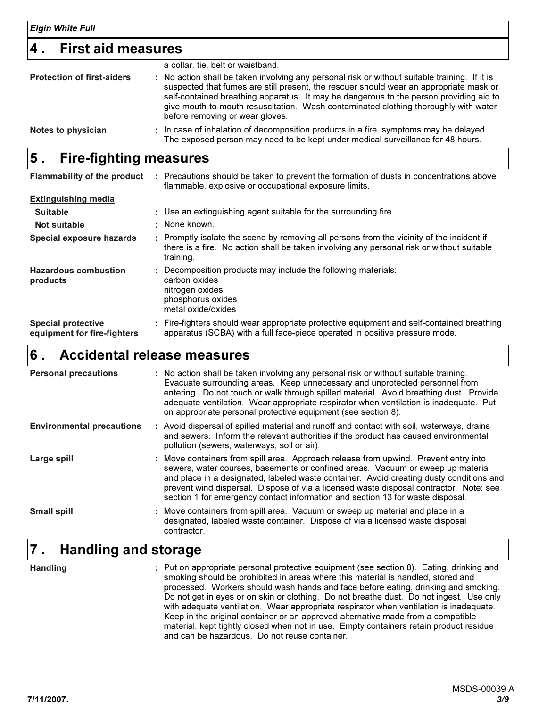#### 4 . First aid measures

| <b>Protection of first-aiders</b> | a collar, tie, belt or waistband.<br>: No action shall be taken involving any personal risk or without suitable training. If it is<br>suspected that fumes are still present, the rescuer should wear an appropriate mask or<br>self-contained breathing apparatus. It may be dangerous to the person providing aid to<br>give mouth-to-mouth resuscitation. Wash contaminated clothing thoroughly with water<br>before removing or wear gloves. |
|-----------------------------------|--------------------------------------------------------------------------------------------------------------------------------------------------------------------------------------------------------------------------------------------------------------------------------------------------------------------------------------------------------------------------------------------------------------------------------------------------|
| Notes to physician                | : In case of inhalation of decomposition products in a fire, symptoms may be delayed.<br>The exposed person may need to be kept under medical surveillance for 48 hours.                                                                                                                                                                                                                                                                         |

#### Fire-fighting measures 5 .

| <b>Flammability of the product</b>                       | : Precautions should be taken to prevent the formation of dusts in concentrations above<br>flammable, explosive or occupational exposure limits.                                                    |
|----------------------------------------------------------|-----------------------------------------------------------------------------------------------------------------------------------------------------------------------------------------------------|
| <b>Extinguishing media</b>                               |                                                                                                                                                                                                     |
| <b>Suitable</b>                                          | : Use an extinguishing agent suitable for the surrounding fire.                                                                                                                                     |
| Not suitable                                             | : None known.                                                                                                                                                                                       |
| Special exposure hazards                                 | : Promptly isolate the scene by removing all persons from the vicinity of the incident if<br>there is a fire. No action shall be taken involving any personal risk or without suitable<br>training. |
| <b>Hazardous combustion</b><br>products                  | Decomposition products may include the following materials:<br>carbon oxides<br>nitrogen oxides<br>phosphorus oxides<br>metal oxide/oxides                                                          |
| <b>Special protective</b><br>equipment for fire-fighters | : Fire-fighters should wear appropriate protective equipment and self-contained breathing<br>apparatus (SCBA) with a full face-piece operated in positive pressure mode.                            |

#### Accidental release measures 6 .

| <b>Personal precautions</b>      | : No action shall be taken involving any personal risk or without suitable training.<br>Evacuate surrounding areas. Keep unnecessary and unprotected personnel from<br>entering. Do not touch or walk through spilled material. Avoid breathing dust. Provide<br>adequate ventilation. Wear appropriate respirator when ventilation is inadequate. Put<br>on appropriate personal protective equipment (see section 8).                       |
|----------------------------------|-----------------------------------------------------------------------------------------------------------------------------------------------------------------------------------------------------------------------------------------------------------------------------------------------------------------------------------------------------------------------------------------------------------------------------------------------|
| <b>Environmental precautions</b> | : Avoid dispersal of spilled material and runoff and contact with soil, waterways, drains<br>and sewers. Inform the relevant authorities if the product has caused environmental<br>pollution (sewers, waterways, soil or air).                                                                                                                                                                                                               |
| Large spill                      | : Move containers from spill area. Approach release from upwind. Prevent entry into<br>sewers, water courses, basements or confined areas. Vacuum or sweep up material<br>and place in a designated, labeled waste container. Avoid creating dusty conditions and<br>prevent wind dispersal. Dispose of via a licensed waste disposal contractor. Note: see<br>section 1 for emergency contact information and section 13 for waste disposal. |
| <b>Small spill</b>               | : Move containers from spill area. Vacuum or sweep up material and place in a<br>designated, labeled waste container. Dispose of via a licensed waste disposal<br>contractor.                                                                                                                                                                                                                                                                 |

#### Handling and storage 7 .

**Handling** 

: Put on appropriate personal protective equipment (see section 8). Eating, drinking and smoking should be prohibited in areas where this material is handled, stored and processed. Workers should wash hands and face before eating, drinking and smoking. Do not get in eyes or on skin or clothing. Do not breathe dust. Do not ingest. Use only with adequate ventilation. Wear appropriate respirator when ventilation is inadequate. Keep in the original container or an approved alternative made from a compatible material, kept tightly closed when not in use. Empty containers retain product residue and can be hazardous. Do not reuse container.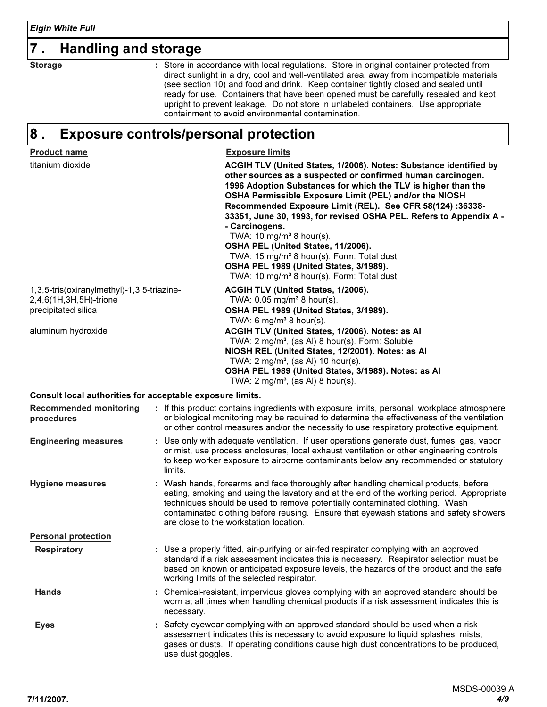### 7 . Handling and storage

**Storage** 

Store in accordance with local regulations. Store in original container protected from direct sunlight in a dry, cool and well-ventilated area, away from incompatible materials (see section 10) and food and drink. Keep container tightly closed and sealed until ready for use. Containers that have been opened must be carefully resealed and kept upright to prevent leakage. Do not store in unlabeled containers. Use appropriate containment to avoid environmental contamination.

#### Exposure controls/personal protection 8 .

| <b>Product name</b>                                                                         | <b>Exposure limits</b>                                                                                                                                                                                                                                                                                                                                                                                                                                                                                                                                                                                                                                     |
|---------------------------------------------------------------------------------------------|------------------------------------------------------------------------------------------------------------------------------------------------------------------------------------------------------------------------------------------------------------------------------------------------------------------------------------------------------------------------------------------------------------------------------------------------------------------------------------------------------------------------------------------------------------------------------------------------------------------------------------------------------------|
| titanium dioxide                                                                            | ACGIH TLV (United States, 1/2006). Notes: Substance identified by<br>other sources as a suspected or confirmed human carcinogen.<br>1996 Adoption Substances for which the TLV is higher than the<br>OSHA Permissible Exposure Limit (PEL) and/or the NIOSH<br>Recommended Exposure Limit (REL). See CFR 58(124) :36338-<br>33351, June 30, 1993, for revised OSHA PEL. Refers to Appendix A -<br>- Carcinogens.<br>TWA: 10 mg/m <sup>3</sup> 8 hour(s).<br>OSHA PEL (United States, 11/2006).<br>TWA: 15 mg/m <sup>3</sup> 8 hour(s). Form: Total dust<br>OSHA PEL 1989 (United States, 3/1989).<br>TWA: 10 mg/m <sup>3</sup> 8 hour(s). Form: Total dust |
| 1,3,5-tris(oxiranylmethyl)-1,3,5-triazine-<br>2,4,6(1H,3H,5H)-trione<br>precipitated silica | ACGIH TLV (United States, 1/2006).<br>TWA: $0.05$ mg/m <sup>3</sup> 8 hour(s).<br>OSHA PEL 1989 (United States, 3/1989).<br>TWA: 6 mg/m <sup>3</sup> 8 hour(s).                                                                                                                                                                                                                                                                                                                                                                                                                                                                                            |
| aluminum hydroxide                                                                          | ACGIH TLV (United States, 1/2006). Notes: as Al<br>TWA: 2 mg/m <sup>3</sup> , (as Al) 8 hour(s). Form: Soluble<br>NIOSH REL (United States, 12/2001). Notes: as Al<br>TWA: $2 \text{ mg/m}^3$ , (as Al) 10 hour(s).<br>OSHA PEL 1989 (United States, 3/1989). Notes: as Al<br>TWA: $2 \text{ mg/m}^3$ , (as Al) 8 hour(s).                                                                                                                                                                                                                                                                                                                                 |
| Consult local authorities for acceptable exposure limits.                                   |                                                                                                                                                                                                                                                                                                                                                                                                                                                                                                                                                                                                                                                            |
| <b>Recommended monitoring</b><br>procedures                                                 | : If this product contains ingredients with exposure limits, personal, workplace atmosphere<br>or biological monitoring may be required to determine the effectiveness of the ventilation<br>or other control measures and/or the necessity to use respiratory protective equipment.                                                                                                                                                                                                                                                                                                                                                                       |
| <b>Engineering measures</b>                                                                 | : Use only with adequate ventilation. If user operations generate dust, fumes, gas, vapor<br>or mist, use process enclosures, local exhaust ventilation or other engineering controls<br>to keep worker exposure to airborne contaminants below any recommended or statutory<br>limits.                                                                                                                                                                                                                                                                                                                                                                    |
| <b>Hygiene measures</b>                                                                     | : Wash hands, forearms and face thoroughly after handling chemical products, before<br>eating, smoking and using the lavatory and at the end of the working period. Appropriate<br>techniques should be used to remove potentially contaminated clothing. Wash<br>contaminated clothing before reusing. Ensure that eyewash stations and safety showers<br>are close to the workstation location.                                                                                                                                                                                                                                                          |
| <b>Personal protection</b>                                                                  |                                                                                                                                                                                                                                                                                                                                                                                                                                                                                                                                                                                                                                                            |
| <b>Respiratory</b>                                                                          | : Use a properly fitted, air-purifying or air-fed respirator complying with an approved<br>standard if a risk assessment indicates this is necessary. Respirator selection must be<br>based on known or anticipated exposure levels, the hazards of the product and the safe<br>working limits of the selected respirator.                                                                                                                                                                                                                                                                                                                                 |
| <b>Hands</b>                                                                                | : Chemical-resistant, impervious gloves complying with an approved standard should be<br>worn at all times when handling chemical products if a risk assessment indicates this is<br>necessary.                                                                                                                                                                                                                                                                                                                                                                                                                                                            |
| <b>Eyes</b>                                                                                 | : Safety eyewear complying with an approved standard should be used when a risk<br>assessment indicates this is necessary to avoid exposure to liquid splashes, mists,<br>gases or dusts. If operating conditions cause high dust concentrations to be produced,<br>use dust goggles.                                                                                                                                                                                                                                                                                                                                                                      |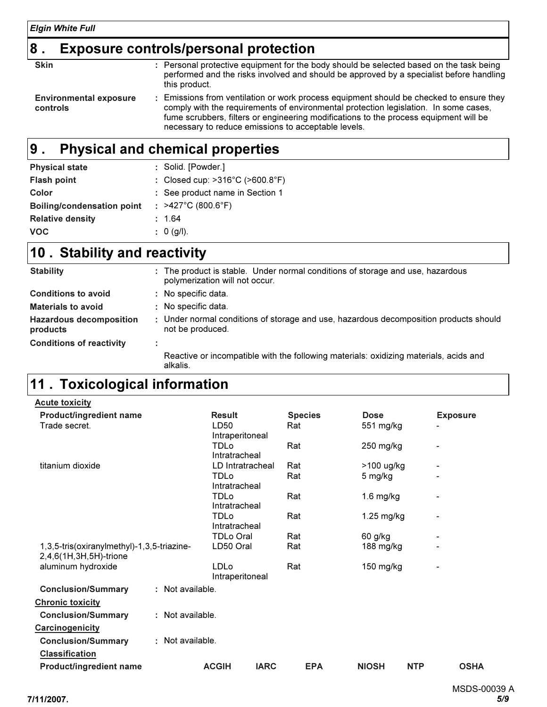# $\vert$ 8 . Exposure controls/personal protection

| <b>Skin</b>                               | : Personal protective equipment for the body should be selected based on the task being<br>performed and the risks involved and should be approved by a specialist before handling<br>this product.                                                                                                                           |
|-------------------------------------------|-------------------------------------------------------------------------------------------------------------------------------------------------------------------------------------------------------------------------------------------------------------------------------------------------------------------------------|
| <b>Environmental exposure</b><br>controls | Emissions from ventilation or work process equipment should be checked to ensure they<br>comply with the requirements of environmental protection legislation. In some cases,<br>fume scrubbers, filters or engineering modifications to the process equipment will be<br>necessary to reduce emissions to acceptable levels. |
|                                           |                                                                                                                                                                                                                                                                                                                               |

#### Physical and chemical properties 9 .

| <b>Physical state</b>             | : Solid. [Powder.]              |
|-----------------------------------|---------------------------------|
| <b>Flash point</b>                | : Closed cup: >316°C (>600.8°F) |
| Color                             | : See product name in Section 1 |
| <b>Boiling/condensation point</b> | : $>427^{\circ}$ C (800.6°F)    |
| <b>Relative density</b>           | : 1.64                          |
| <b>VOC</b>                        | : 0 (g/l).                      |

### 10. Stability and reactivity

| <b>Stability</b>                           | : The product is stable. Under normal conditions of storage and use, hazardous<br>polymerization will not occur. |
|--------------------------------------------|------------------------------------------------------------------------------------------------------------------|
| <b>Conditions to avoid</b>                 | : No specific data.                                                                                              |
| <b>Materials to avoid</b>                  | : No specific data.                                                                                              |
| <b>Hazardous decomposition</b><br>products | : Under normal conditions of storage and use, hazardous decomposition products should<br>not be produced.        |
| <b>Conditions of reactivity</b>            |                                                                                                                  |
|                                            | Reactive or incompatible with the following materials: oxidizing materials, acids and<br>alkalis.                |

# 11 . Toxicological information

| <b>Acute toxicity</b>                                                |                  |                                |             |     |                |              |            |                 |             |
|----------------------------------------------------------------------|------------------|--------------------------------|-------------|-----|----------------|--------------|------------|-----------------|-------------|
| <b>Product/ingredient name</b>                                       |                  | <b>Result</b>                  |             |     | <b>Species</b> | <b>Dose</b>  |            | <b>Exposure</b> |             |
| Trade secret.                                                        |                  | LD50<br>Intraperitoneal        |             | Rat |                | 551 mg/kg    |            |                 |             |
|                                                                      |                  | <b>TDLo</b><br>Intratracheal   |             | Rat |                | 250 mg/kg    |            |                 |             |
| titanium dioxide                                                     |                  | LD Intratracheal               |             | Rat |                | >100 ug/kg   |            |                 |             |
|                                                                      |                  | <b>TDLo</b><br>Intratracheal   |             | Rat |                | 5 mg/kg      |            |                 |             |
|                                                                      |                  | <b>TDLo</b><br>Intratracheal   |             | Rat |                | $1.6$ mg/kg  |            |                 |             |
|                                                                      |                  | <b>TDLo</b><br>Intratracheal   |             | Rat |                | $1.25$ mg/kg |            |                 |             |
|                                                                      |                  | <b>TDLo Oral</b>               |             | Rat |                | 60 g/kg      |            |                 |             |
| 1,3,5-tris(oxiranylmethyl)-1,3,5-triazine-<br>2,4,6(1H,3H,5H)-trione |                  | LD50 Oral                      |             | Rat |                | 188 mg/kg    |            |                 |             |
| aluminum hydroxide                                                   |                  | <b>LDLo</b><br>Intraperitoneal |             | Rat |                | 150 mg/kg    |            |                 |             |
| <b>Conclusion/Summary</b>                                            | : Not available. |                                |             |     |                |              |            |                 |             |
| <b>Chronic toxicity</b>                                              |                  |                                |             |     |                |              |            |                 |             |
| <b>Conclusion/Summary</b>                                            | : Not available. |                                |             |     |                |              |            |                 |             |
| Carcinogenicity                                                      |                  |                                |             |     |                |              |            |                 |             |
| <b>Conclusion/Summary</b>                                            | : Not available. |                                |             |     |                |              |            |                 |             |
| <b>Classification</b>                                                |                  |                                |             |     |                |              |            |                 |             |
| Product/ingredient name                                              |                  | <b>ACGIH</b>                   | <b>IARC</b> |     | <b>EPA</b>     | <b>NIOSH</b> | <b>NTP</b> |                 | <b>OSHA</b> |
|                                                                      |                  |                                |             |     |                |              |            |                 |             |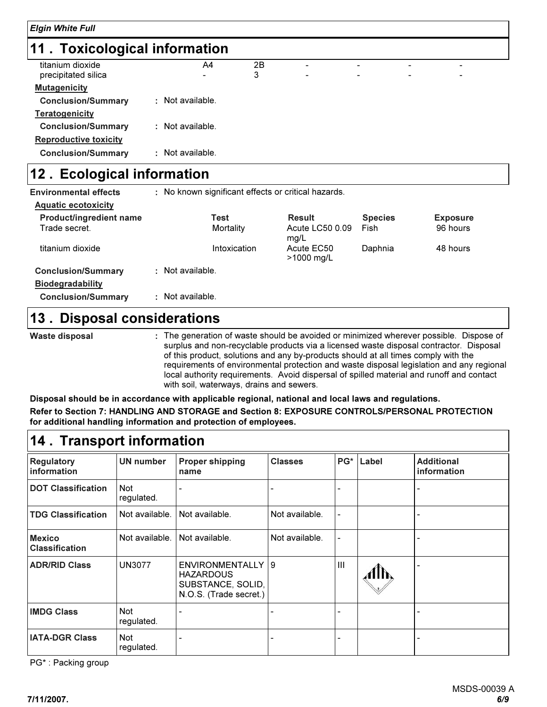### 11 . Toxicological information

| titanium dioxide                                                                                                                                                                                                                                                                                                                                                                     | A4               | 2B | $\overline{\phantom{0}}$ | $\overline{\phantom{0}}$ | -                        | ۰. |  |
|--------------------------------------------------------------------------------------------------------------------------------------------------------------------------------------------------------------------------------------------------------------------------------------------------------------------------------------------------------------------------------------|------------------|----|--------------------------|--------------------------|--------------------------|----|--|
| precipitated silica                                                                                                                                                                                                                                                                                                                                                                  |                  | 3  | $\overline{\phantom{0}}$ | $\overline{\phantom{0}}$ | $\overline{\phantom{0}}$ | ۰  |  |
| <b>Mutagenicity</b>                                                                                                                                                                                                                                                                                                                                                                  |                  |    |                          |                          |                          |    |  |
| <b>Conclusion/Summary</b>                                                                                                                                                                                                                                                                                                                                                            | : Not available. |    |                          |                          |                          |    |  |
| <b>Teratogenicity</b>                                                                                                                                                                                                                                                                                                                                                                |                  |    |                          |                          |                          |    |  |
| <b>Conclusion/Summary</b>                                                                                                                                                                                                                                                                                                                                                            | : Not available. |    |                          |                          |                          |    |  |
| <b>Reproductive toxicity</b>                                                                                                                                                                                                                                                                                                                                                         |                  |    |                          |                          |                          |    |  |
| <b>Conclusion/Summary</b>                                                                                                                                                                                                                                                                                                                                                            | : Not available. |    |                          |                          |                          |    |  |
| $\overline{a}$ $\overline{b}$ $\overline{c}$ $\overline{d}$ $\overline{d}$ $\overline{d}$ $\overline{d}$ $\overline{d}$ $\overline{d}$ $\overline{d}$ $\overline{d}$ $\overline{d}$ $\overline{d}$ $\overline{d}$ $\overline{d}$ $\overline{d}$ $\overline{d}$ $\overline{d}$ $\overline{d}$ $\overline{d}$ $\overline{d}$ $\overline{d}$ $\overline{d}$ $\overline{d}$ $\overline{$ |                  |    |                          |                          |                          |    |  |

### 12. Ecological information

| <b>Environmental effects</b>   |                  |              | : No known significant effects or critical hazards. |                |                 |
|--------------------------------|------------------|--------------|-----------------------------------------------------|----------------|-----------------|
| <b>Aquatic ecotoxicity</b>     |                  |              |                                                     |                |                 |
| <b>Product/ingredient name</b> |                  | Test         | <b>Result</b>                                       | <b>Species</b> | <b>Exposure</b> |
| Trade secret.                  |                  | Mortality    | Acute LC50 0.09<br>mg/L                             | Fish           | 96 hours        |
| titanium dioxide               |                  | Intoxication | Acute EC50<br>$>1000 \; \text{mq/L}$                | Daphnia        | 48 hours        |
| <b>Conclusion/Summary</b>      | : Not available. |              |                                                     |                |                 |
| <b>Biodegradability</b>        |                  |              |                                                     |                |                 |
| <b>Conclusion/Summary</b>      | : Not available. |              |                                                     |                |                 |
| 1 W                            |                  |              |                                                     |                |                 |

#### 13 . Disposal considerations

Waste disposal

The generation of waste should be avoided or minimized wherever possible. Dispose of : surplus and non-recyclable products via a licensed waste disposal contractor. Disposal of this product, solutions and any by-products should at all times comply with the requirements of environmental protection and waste disposal legislation and any regional local authority requirements. Avoid dispersal of spilled material and runoff and contact with soil, waterways, drains and sewers.

Disposal should be in accordance with applicable regional, national and local laws and regulations. Refer to Section 7: HANDLING AND STORAGE and Section 8: EXPOSURE CONTROLS/PERSONAL PROTECTION for additional handling information and protection of employees.

### 14 . Transport information

| Regulatory<br>information              | <b>UN number</b>         | <b>Proper shipping</b><br>name                                                         | <b>Classes</b> | PG* | Label | <b>Additional</b><br>information |
|----------------------------------------|--------------------------|----------------------------------------------------------------------------------------|----------------|-----|-------|----------------------------------|
| <b>DOT Classification</b>              | <b>Not</b><br>regulated. |                                                                                        |                |     |       |                                  |
| <b>TDG Classification</b>              | Not available.           | Not available.                                                                         | Not available. |     |       |                                  |
| <b>Mexico</b><br><b>Classification</b> | Not available.           | Not available.                                                                         | Not available. |     |       |                                  |
| <b>ADR/RID Class</b>                   | <b>UN3077</b>            | ENVIRONMENTALLY   9<br><b>HAZARDOUS</b><br>SUBSTANCE, SOLID,<br>N.O.S. (Trade secret.) |                | Ш   |       |                                  |
| <b>IMDG Class</b>                      | Not<br>regulated.        |                                                                                        |                |     |       |                                  |
| <b>IATA-DGR Class</b>                  | <b>Not</b><br>regulated. |                                                                                        |                |     |       |                                  |

PG\* : Packing group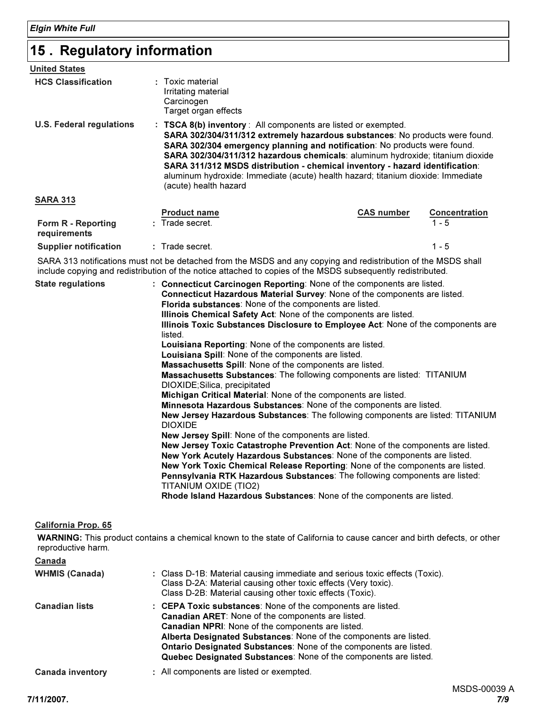### 15 . Regulatory information

| <b>United States</b>               |                                                                               |                                                                                                                                                                                                                                                                                                                                                                                                                                                                                          |                      |
|------------------------------------|-------------------------------------------------------------------------------|------------------------------------------------------------------------------------------------------------------------------------------------------------------------------------------------------------------------------------------------------------------------------------------------------------------------------------------------------------------------------------------------------------------------------------------------------------------------------------------|----------------------|
| <b>HCS Classification</b>          | : Toxic material<br>Irritating material<br>Carcinogen<br>Target organ effects |                                                                                                                                                                                                                                                                                                                                                                                                                                                                                          |                      |
| <b>U.S. Federal regulations</b>    | (acute) health hazard                                                         | : TSCA 8(b) inventory : All components are listed or exempted.<br>SARA 302/304/311/312 extremely hazardous substances: No products were found.<br>SARA 302/304 emergency planning and notification: No products were found.<br><b>SARA 302/304/311/312 hazardous chemicals: aluminum hydroxide; titanium dioxide</b><br>SARA 311/312 MSDS distribution - chemical inventory - hazard identification:<br>aluminum hydroxide: Immediate (acute) health hazard; titanium dioxide: Immediate |                      |
| <b>SARA 313</b>                    |                                                                               |                                                                                                                                                                                                                                                                                                                                                                                                                                                                                          |                      |
|                                    | <b>Product name</b>                                                           | <b>CAS number</b>                                                                                                                                                                                                                                                                                                                                                                                                                                                                        | <b>Concentration</b> |
| Form R - Reporting<br>requirements | : Trade secret.                                                               |                                                                                                                                                                                                                                                                                                                                                                                                                                                                                          | $1 - 5$              |
| <b>Supplier notification</b>       | : Trade secret.                                                               |                                                                                                                                                                                                                                                                                                                                                                                                                                                                                          | $1 - 5$              |

SARA 313 notifications must not be detached from the MSDS and any copying and redistribution of the MSDS shall include copying and redistribution of the notice attached to copies of the MSDS subsequently redistributed.

| <b>State regulations</b> | : Connecticut Carcinogen Reporting: None of the components are listed.                                   |
|--------------------------|----------------------------------------------------------------------------------------------------------|
|                          | Connecticut Hazardous Material Survey: None of the components are listed.                                |
|                          | Florida substances: None of the components are listed.                                                   |
|                          | Illinois Chemical Safety Act: None of the components are listed.                                         |
|                          | Illinois Toxic Substances Disclosure to Employee Act: None of the components are<br>listed.              |
|                          | Louisiana Reporting: None of the components are listed.                                                  |
|                          | Louisiana Spill: None of the components are listed.                                                      |
|                          | Massachusetts Spill: None of the components are listed.                                                  |
|                          | Massachusetts Substances: The following components are listed: TITANIUM<br>DIOXIDE; Silica, precipitated |
|                          | Michigan Critical Material: None of the components are listed.                                           |
|                          | Minnesota Hazardous Substances: None of the components are listed.                                       |
|                          | New Jersey Hazardous Substances: The following components are listed: TITANIUM<br><b>DIOXIDE</b>         |
|                          | New Jersey Spill: None of the components are listed.                                                     |
|                          | New Jersey Toxic Catastrophe Prevention Act: None of the components are listed.                          |
|                          | New York Acutely Hazardous Substances: None of the components are listed.                                |
|                          | New York Toxic Chemical Release Reporting: None of the components are listed.                            |
|                          | Pennsylvania RTK Hazardous Substances: The following components are listed:                              |
|                          | TITANIUM OXIDE (TIO2)                                                                                    |
|                          | Rhode Island Hazardous Substances: None of the components are listed.                                    |

#### California Prop. 65

WARNING: This product contains a chemical known to the state of California to cause cancer and birth defects, or other reproductive harm.

| Canada                  |                                                                                                                                                                                                                                                                                                                                                                                            |
|-------------------------|--------------------------------------------------------------------------------------------------------------------------------------------------------------------------------------------------------------------------------------------------------------------------------------------------------------------------------------------------------------------------------------------|
| <b>WHMIS (Canada)</b>   | : Class D-1B: Material causing immediate and serious toxic effects (Toxic).<br>Class D-2A: Material causing other toxic effects (Very toxic).<br>Class D-2B: Material causing other toxic effects (Toxic).                                                                                                                                                                                 |
| <b>Canadian lists</b>   | : CEPA Toxic substances: None of the components are listed.<br><b>Canadian ARET:</b> None of the components are listed.<br>Canadian NPRI: None of the components are listed.<br>Alberta Designated Substances: None of the components are listed.<br>Ontario Designated Substances: None of the components are listed.<br>Quebec Designated Substances: None of the components are listed. |
| <b>Canada inventory</b> | : All components are listed or exempted.                                                                                                                                                                                                                                                                                                                                                   |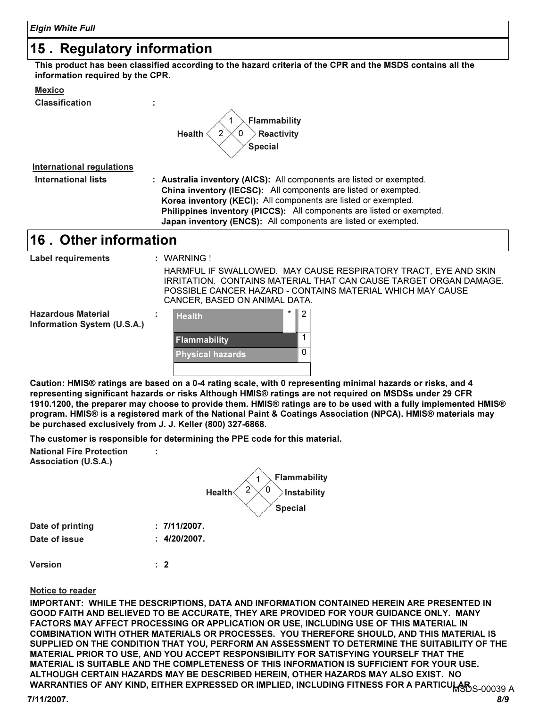### 15 . Regulatory information

This product has been classified according to the hazard criteria of the CPR and the MSDS contains all the information required by the CPR.

|--|

Classification :



| International regulations |                                                                       |
|---------------------------|-----------------------------------------------------------------------|
| International lists       | : Australia inventory (AICS): All components are listed or exempted.  |
|                           | China inventory (IECSC): All components are listed or exempted.       |
|                           | Korea inventory (KECI): All components are listed or exempted.        |
|                           | Philippines inventory (PICCS): All components are listed or exempted. |
|                           | Japan inventory (ENCS): All components are listed or exempted.        |

### 16. Other information

| Label requirements                                       |    | : WARNING!                    |   |                                                                                                                                                                                                    |
|----------------------------------------------------------|----|-------------------------------|---|----------------------------------------------------------------------------------------------------------------------------------------------------------------------------------------------------|
|                                                          |    | CANCER, BASED ON ANIMAL DATA. |   | HARMFUL IF SWALLOWED. MAY CAUSE RESPIRATORY TRACT. EYE AND SKIN<br>IRRITATION. CONTAINS MATERIAL THAT CAN CAUSE TARGET ORGAN DAMAGE.<br>POSSIBLE CANCER HAZARD - CONTAINS MATERIAL WHICH MAY CAUSE |
| <b>Hazardous Material</b><br>Information System (U.S.A.) | ۰. | <b>Health</b>                 | * | $\overline{2}$                                                                                                                                                                                     |
|                                                          |    | <b>Flammability</b>           |   |                                                                                                                                                                                                    |
|                                                          |    | <b>Physical hazards</b>       |   | $\Omega$                                                                                                                                                                                           |
|                                                          |    |                               |   |                                                                                                                                                                                                    |

Caution: HMIS® ratings are based on a 0-4 rating scale, with 0 representing minimal hazards or risks, and 4 representing significant hazards or risks Although HMIS® ratings are not required on MSDSs under 29 CFR 1910.1200, the preparer may choose to provide them. HMIS® ratings are to be used with a fully implemented HMIS® program. HMIS® is a registered mark of the National Paint & Coatings Association (NPCA). HMIS® materials may be purchased exclusively from J. J. Keller (800) 327-6868.

The customer is responsible for determining the PPE code for this material.

National Fire Protection Association (U.S.A.)

| . J | <b>Flammability</b><br>າ<br>0<br><b>Health</b><br>Instability<br><b>Special</b> |
|-----|---------------------------------------------------------------------------------|
|     | : 7/11/2007.                                                                    |

Date of printing Date of issue

4/20/2007. :

2 :

:

Version

#### Notice to reader

IMPORTANT: WHILE THE DESCRIPTIONS, DATA AND INFORMATION CONTAINED HEREIN ARE PRESENTED IN GOOD FAITH AND BELIEVED TO BE ACCURATE, THEY ARE PROVIDED FOR YOUR GUIDANCE ONLY. MANY FACTORS MAY AFFECT PROCESSING OR APPLICATION OR USE, INCLUDING USE OF THIS MATERIAL IN COMBINATION WITH OTHER MATERIALS OR PROCESSES. YOU THEREFORE SHOULD, AND THIS MATERIAL IS SUPPLIED ON THE CONDITION THAT YOU, PERFORM AN ASSESSMENT TO DETERMINE THE SUITABILITY OF THE MATERIAL PRIOR TO USE, AND YOU ACCEPT RESPONSIBILITY FOR SATISFYING YOURSELF THAT THE MATERIAL IS SUITABLE AND THE COMPLETENESS OF THIS INFORMATION IS SUFFICIENT FOR YOUR USE. ALTHOUGH CERTAIN HAZARDS MAY BE DESCRIBED HEREIN, OTHER HAZARDS MAY ALSO EXIST. NO WARRANTIES OF ANY KIND, EITHER EXPRESSED OR IMPLIED, INCLUDING FITNESS FOR A PARTICULAR S-00039 A

# 7/11/2007. 8/9